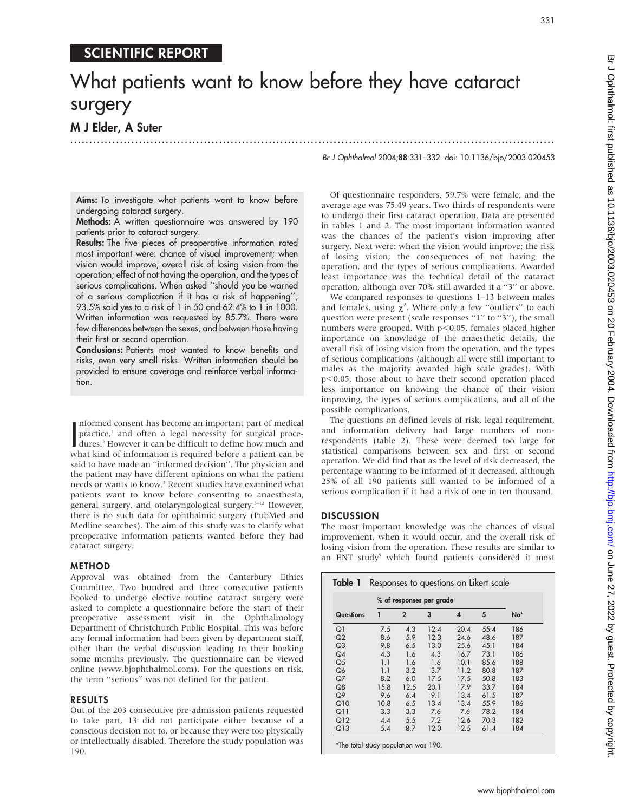# SCIENTIFIC REPORT

# What patients want to know before they have cataract surgery

.............................................................................................................................. .

## M J Elder, A Suter

Br J Ophthalmol 2004;88:331–332. doi: 10.1136/bjo/2003.020453

331

Aims: To investigate what patients want to know before undergoing cataract surgery.

Methods: A written questionnaire was answered by 190 patients prior to cataract surgery.

Results: The five pieces of preoperative information rated most important were: chance of visual improvement; when vision would improve; overall risk of losing vision from the operation; effect of not having the operation, and the types of serious complications. When asked ''should you be warned of a serious complication if it has a risk of happening'', 93.5% said yes to a risk of 1 in 50 and 62.4% to 1 in 1000. Written information was requested by 85.7%. There were few differences between the sexes, and between those having their first or second operation.

Conclusions: Patients most wanted to know benefits and risks, even very small risks. Written information should be provided to ensure coverage and reinforce verbal information.

Informed consent has become an important part of medical<br>practice,<sup>1</sup> and often a legal necessity for surgical proce-<br>dures.<sup>2</sup> However it can be difficult to define how much and<br>what kind of information is required before nformed consent has become an important part of medical practice,<sup>1</sup> and often a legal necessity for surgical procedures.<sup>2</sup> However it can be difficult to define how much and said to have made an ''informed decision''. The physician and the patient may have different opinions on what the patient needs or wants to know.<sup>3</sup> Recent studies have examined what patients want to know before consenting to anaesthesia, general surgery, and otolaryngological surgery.<sup>3–12</sup> However, there is no such data for ophthalmic surgery (PubMed and Medline searches). The aim of this study was to clarify what preoperative information patients wanted before they had cataract surgery.

## METHOD

Approval was obtained from the Canterbury Ethics Committee. Two hundred and three consecutive patients booked to undergo elective routine cataract surgery were asked to complete a questionnaire before the start of their preoperative assessment visit in the Ophthalmology Department of Christchurch Public Hospital. This was before any formal information had been given by department staff, other than the verbal discussion leading to their booking some months previously. The questionnaire can be viewed online (www.bjophthalmol.com). For the questions on risk, the term ''serious'' was not defined for the patient.

## RESULTS

Out of the 203 consecutive pre-admission patients requested to take part, 13 did not participate either because of a conscious decision not to, or because they were too physically or intellectually disabled. Therefore the study population was 190.

Of questionnaire responders, 59.7% were female, and the average age was 75.49 years. Two thirds of respondents were to undergo their first cataract operation. Data are presented in tables 1 and 2. The most important information wanted was the chances of the patient's vision improving after surgery. Next were: when the vision would improve; the risk of losing vision; the consequences of not having the operation, and the types of serious complications. Awarded least importance was the technical detail of the cataract operation, although over 70% still awarded it a ''3'' or above.

We compared responses to questions 1–13 between males and females, using  $\chi^2$ . Where only a few "outliers" to each question were present (scale responses "1" to "3"), the small numbers were grouped. With  $p<0.05$ , females placed higher importance on knowledge of the anaesthetic details, the overall risk of losing vision from the operation, and the types of serious complications (although all were still important to males as the majority awarded high scale grades). With  $p<0.05$ , those about to have their second operation placed less importance on knowing the chance of their vision improving, the types of serious complications, and all of the possible complications.

The questions on defined levels of risk, legal requirement, and information delivery had large numbers of nonrespondents (table 2). These were deemed too large for statistical comparisons between sex and first or second operation. We did find that as the level of risk decreased, the percentage wanting to be informed of it decreased, although 25% of all 190 patients still wanted to be informed of a serious complication if it had a risk of one in ten thousand.

## DISCUSSION

The most important knowledge was the chances of visual improvement, when it would occur, and the overall risk of losing vision from the operation. These results are similar to an ENT study<sup>5</sup> which found patients considered it most

|                 | % of responses per grade |                |      |      |      |     |
|-----------------|--------------------------|----------------|------|------|------|-----|
| Questions       | 1                        | $\overline{2}$ | 3    | 4    | 5    | No* |
| Q1              | 7.5                      | 4.3            | 12.4 | 20.4 | 55.4 | 186 |
| Q2              | 8.6                      | 5.9            | 12.3 | 24.6 | 48.6 | 187 |
| Q <sub>3</sub>  | 9.8                      | 6.5            | 13.0 | 25.6 | 45.1 | 184 |
| Q4              | 4.3                      | 1.6            | 4.3  | 16.7 | 73.1 | 186 |
| Q <sub>5</sub>  | 1.1                      | 1.6            | 1.6  | 10.1 | 85.6 | 188 |
| Q6              | 1.1                      | 3.2            | 3.7  | 11.2 | 80.8 | 187 |
| QZ              | 8.2                      | 6.0            | 17.5 | 17.5 | 50.8 | 183 |
| Q8              | 15.8                     | 12.5           | 20.1 | 17.9 | 33.7 | 184 |
| Q9              | 9.6                      | 6.4            | 9.1  | 13.4 | 61.5 | 187 |
| Q10             | 10.8                     | 6.5            | 13.4 | 13.4 | 55.9 | 186 |
| Q11             | 3.3                      | 3.3            | 7.6  | 7.6  | 78.2 | 184 |
| Q <sub>12</sub> | 4.4                      | 5.5            | 7.2  | 12.6 | 70.3 | 182 |
| Q13             | 5.4                      | 8.7            | 12.0 | 12.5 | 61.4 | 184 |